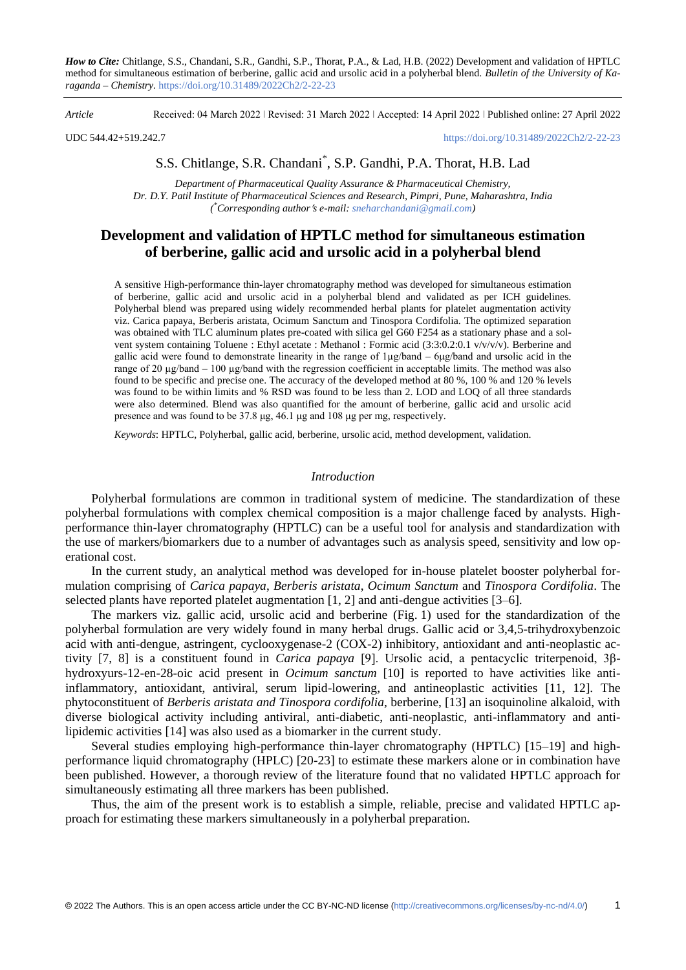*How to Cite:* Chitlange, S.S., Chandani, S.R., Gandhi, S.P., Thorat, P.A., & Lad, H.B. (2022) Development and validation of HPTLC method for simultaneous estimation of berberine, gallic acid and ursolic acid in a polyherbal blend. *Bulletin of the University of Karaganda – Chemistry.* https://doi.org/10.31489/2022Ch2/2-22-23

*Article* Received: 04 March 2022 ǀ Revised: 31 March 2022 ǀ Accepted: 14 April 2022 ǀ Published online: 27 April 2022

UDC 544.42+519.242.7 <https://doi.org/10.31489/2022Ch2/2-22-23>

S.S. Chitlange, S.R. Chandani\* , S.P. Gandhi, P.A. Thorat, H.B. Lad

*Department of Pharmaceutical Quality Assurance & Pharmaceutical Chemistry, Dr. D.Y. Patil Institute of Pharmaceutical Sciences and Research, Pimpri, Pune, Maharashtra, India ( \*Corresponding authors e-mail[: sneharchandani@gmail.com\)](mailto:sneharchandani@gmail.com)*

# **Development and validation of HPTLC method for simultaneous estimation of berberine, gallic acid and ursolic acid in a polyherbal blend**

A sensitive High-performance thin-layer chromatography method was developed for simultaneous estimation of berberine, gallic acid and ursolic acid in a polyherbal blend and validated as per ICH guidelines. Polyherbal blend was prepared using widely recommended herbal plants for platelet augmentation activity viz. Carica papaya, Berberis aristata, Ocimum Sanctum and Tinospora Cordifolia. The optimized separation was obtained with TLC aluminum plates pre-coated with silica gel G60 F254 as a stationary phase and a solvent system containing Toluene : Ethyl acetate : Methanol : Formic acid (3:3:0.2:0.1 v/v/v/v). Berberine and gallic acid were found to demonstrate linearity in the range of 1µg/band – 6μg/band and ursolic acid in the range of 20  $\mu$ g/band – 100  $\mu$ g/band with the regression coefficient in acceptable limits. The method was also found to be specific and precise one. The accuracy of the developed method at 80 %, 100 % and 120 % levels was found to be within limits and % RSD was found to be less than 2. LOD and LOQ of all three standards were also determined. Blend was also quantified for the amount of berberine, gallic acid and ursolic acid presence and was found to be 37.8 μg, 46.1 μg and 108 μg per mg, respectively.

*Keywords*: HPTLC, Polyherbal, gallic acid, berberine, ursolic acid, method development, validation.

## *Introduction*

Polyherbal formulations are common in traditional system of medicine. The standardization of these polyherbal formulations with complex chemical composition is a major challenge faced by analysts. Highperformance thin-layer chromatography (HPTLC) can be a useful tool for analysis and standardization with the use of markers/biomarkers due to a number of advantages such as analysis speed, sensitivity and low operational cost.

In the current study, an analytical method was developed for in-house platelet booster polyherbal formulation comprising of *Carica papaya*, *Berberis aristata*, *Ocimum Sanctum* and *Tinospora Cordifolia*. The selected plants have reported platelet augmentation [1, 2] and anti-dengue activities [3–6].

The markers viz. gallic acid, ursolic acid and berberine (Fig. 1) used for the standardization of the polyherbal formulation are very widely found in many herbal drugs. Gallic acid or 3,4,5-trihydroxybenzoic acid with anti-dengue, astringent, cyclooxygenase-2 (COX-2) inhibitory, antioxidant and anti-neoplastic activity [7, 8] is a constituent found in *Carica papaya* [9]. Ursolic acid, a pentacyclic triterpenoid, 3βhydroxyurs-12-en-28-oic acid present in *Ocimum sanctum* [10] is reported to have activities like antiinflammatory, antioxidant, antiviral, serum lipid-lowering, and antineoplastic activities [11, 12]. The phytoconstituent of *Berberis aristata and Tinospora cordifolia,* berberine, [13] an isoquinoline alkaloid, with diverse biological activity including antiviral, anti-diabetic, anti-neoplastic, anti-inflammatory and antilipidemic activities [14] was also used as a biomarker in the current study.

Several studies employing high-performance thin-layer chromatography (HPTLC) [15–19] and highperformance liquid chromatography (HPLC) [20-23] to estimate these markers alone or in combination have been published. However, a thorough review of the literature found that no validated HPTLC approach for simultaneously estimating all three markers has been published.

Thus, the aim of the present work is to establish a simple, reliable, precise and validated HPTLC approach for estimating these markers simultaneously in a polyherbal preparation.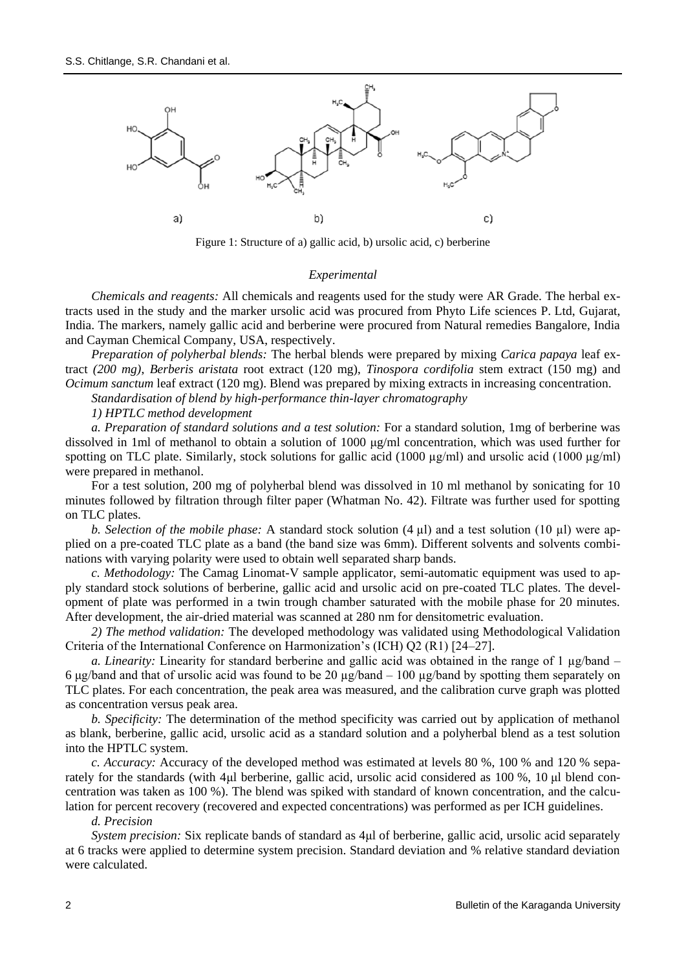

Figure 1: Structure of a) gallic acid, b) ursolic acid, c) berberine

### *Experimental*

*Chemicals and reagents:* All chemicals and reagents used for the study were AR Grade. The herbal extracts used in the study and the marker ursolic acid was procured from Phyto Life sciences P. Ltd, Gujarat, India. The markers, namely gallic acid and berberine were procured from Natural remedies Bangalore, India and Cayman Chemical Company, USA, respectively.

*Preparation of polyherbal blends:* The herbal blends were prepared by mixing *Carica papaya* leaf extract *(200 mg)*, *Berberis aristata* root extract (120 mg), *Tinospora cordifolia* stem extract (150 mg) and *Ocimum sanctum leaf extract* (120 mg). Blend was prepared by mixing extracts in increasing concentration.

*Standardisation of blend by high-performance thin-layer chromatography*

*1) HPTLC method development*

*a. Preparation of standard solutions and a test solution:* For a standard solution, 1mg of berberine was dissolved in 1ml of methanol to obtain a solution of 1000 μg/ml concentration, which was used further for spotting on TLC plate. Similarly, stock solutions for gallic acid (1000 µg/ml) and ursolic acid (1000 µg/ml) were prepared in methanol.

For a test solution, 200 mg of polyherbal blend was dissolved in 10 ml methanol by sonicating for 10 minutes followed by filtration through filter paper (Whatman No. 42). Filtrate was further used for spotting on TLC plates.

*b. Selection of the mobile phase:* A standard stock solution (4 µl) and a test solution (10 µl) were applied on a pre-coated TLC plate as a band (the band size was 6mm). Different solvents and solvents combinations with varying polarity were used to obtain well separated sharp bands.

*c. Methodology:* The Camag Linomat-V sample applicator, semi-automatic equipment was used to apply standard stock solutions of berberine, gallic acid and ursolic acid on pre-coated TLC plates. The development of plate was performed in a twin trough chamber saturated with the mobile phase for 20 minutes. After development, the air-dried material was scanned at 280 nm for densitometric evaluation.

*2) The method validation:* The developed methodology was validated using Methodological Validation Criteria of the International Conference on Harmonization's (ICH) Q2 (R1) [24–27].

*a. Linearity:* Linearity for standard berberine and gallic acid was obtained in the range of 1 µg/band – 6 μg/band and that of ursolic acid was found to be 20  $\mu$ g/band – 100  $\mu$ g/band by spotting them separately on TLC plates. For each concentration, the peak area was measured, and the calibration curve graph was plotted as concentration versus peak area.

*b. Specificity:* The determination of the method specificity was carried out by application of methanol as blank, berberine, gallic acid, ursolic acid as a standard solution and a polyherbal blend as a test solution into the HPTLC system.

*c. Accuracy:* Accuracy of the developed method was estimated at levels 80 %, 100 % and 120 % separately for the standards (with 4μl berberine, gallic acid, ursolic acid considered as 100 %, 10 μl blend concentration was taken as 100 %). The blend was spiked with standard of known concentration, and the calculation for percent recovery (recovered and expected concentrations) was performed as per ICH guidelines.

#### *d. Precision*

*System precision:* Six replicate bands of standard as 4μl of berberine, gallic acid, ursolic acid separately at 6 tracks were applied to determine system precision. Standard deviation and % relative standard deviation were calculated.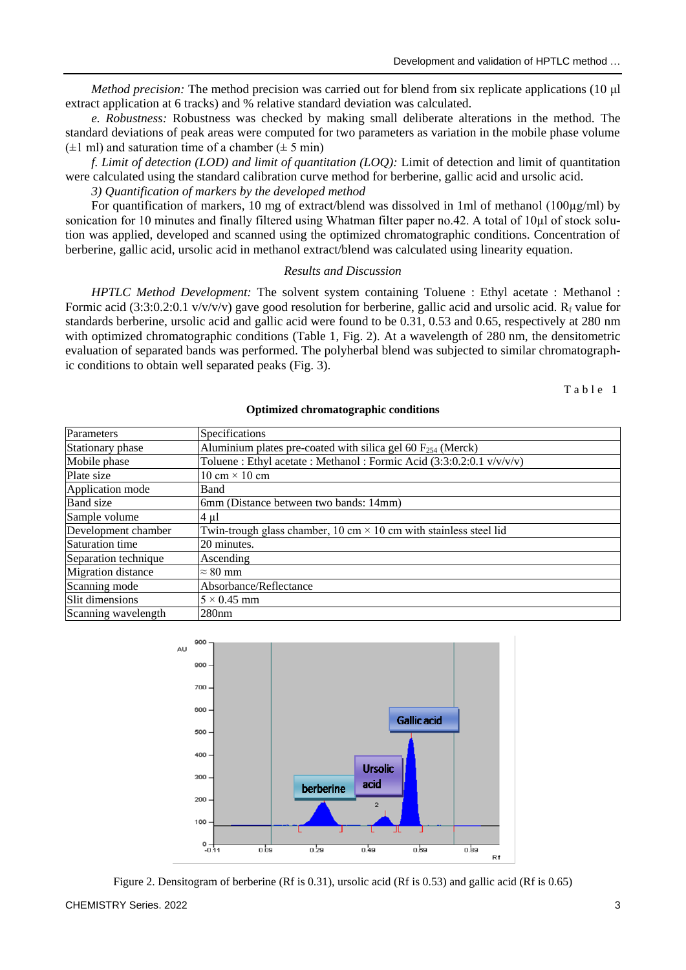*Method precision:* The method precision was carried out for blend from six replicate applications (10 μl extract application at 6 tracks) and % relative standard deviation was calculated.

*e. Robustness:* Robustness was checked by making small deliberate alterations in the method. The standard deviations of peak areas were computed for two parameters as variation in the mobile phase volume  $(\pm 1$  ml) and saturation time of a chamber  $(\pm 5$  min)

*f. Limit of detection (LOD) and limit of quantitation (LOQ):* Limit of detection and limit of quantitation were calculated using the standard calibration curve method for berberine, gallic acid and ursolic acid.

*3) Quantification of markers by the developed method*

For quantification of markers, 10 mg of extract/blend was dissolved in 1ml of methanol (100µg/ml) by sonication for 10 minutes and finally filtered using Whatman filter paper no.42. A total of 10µl of stock solution was applied, developed and scanned using the optimized chromatographic conditions. Concentration of berberine, gallic acid, ursolic acid in methanol extract/blend was calculated using linearity equation.

### *Results and Discussion*

*HPTLC Method Development:* The solvent system containing Toluene : Ethyl acetate : Methanol : Formic acid (3:3:0.2:0.1 v/v/v/v) gave good resolution for berberine, gallic acid and ursolic acid.  $R_f$  value for standards berberine, ursolic acid and gallic acid were found to be 0.31, 0.53 and 0.65, respectively at 280 nm with optimized chromatographic conditions (Table 1, Fig. 2). At a wavelength of 280 nm, the densitometric evaluation of separated bands was performed. The polyherbal blend was subjected to similar chromatographic conditions to obtain well separated peaks (Fig. 3).

 $T$  a b  $1e$  1

| Parameters                | Specifications                                                           |  |
|---------------------------|--------------------------------------------------------------------------|--|
| Stationary phase          | Aluminium plates pre-coated with silica gel 60 $F_{254}$ (Merck)         |  |
| Mobile phase              | Toluene : Ethyl acetate : Methanol : Formic Acid (3:3:0.2:0.1 v/v/v/v)   |  |
| Plate size                | 10 cm $\times$ 10 cm                                                     |  |
| Application mode          | Band                                                                     |  |
| <b>Band</b> size          | 6mm (Distance between two bands: 14mm)                                   |  |
| Sample volume             | $4 \mu l$                                                                |  |
| Development chamber       | Twin-trough glass chamber, 10 cm $\times$ 10 cm with stainless steel lid |  |
| Saturation time           | 20 minutes.                                                              |  |
| Separation technique      | Ascending                                                                |  |
| <b>Migration</b> distance | $\approx 80$ mm                                                          |  |
| Scanning mode             | Absorbance/Reflectance                                                   |  |
| Slit dimensions           | $5 \times 0.45$ mm                                                       |  |
| Scanning wavelength       | 280nm                                                                    |  |

#### **Optimized chromatographic conditions**



Figure 2. Densitogram of berberine (Rf is 0.31), ursolic acid (Rf is 0.53) and gallic acid (Rf is 0.65)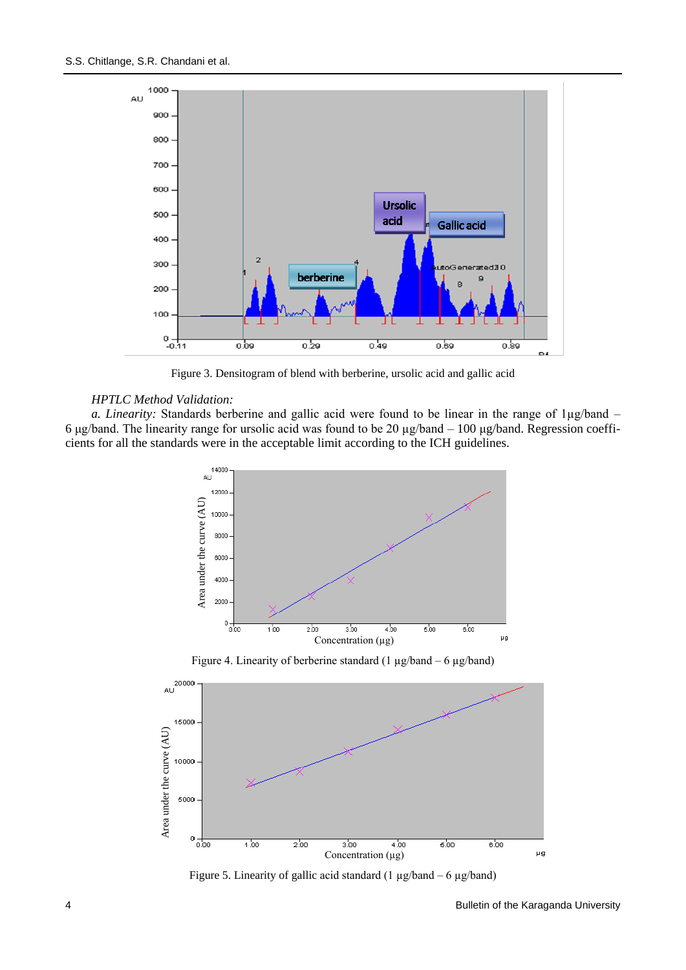

Figure 3. Densitogram of blend with berberine, ursolic acid and gallic acid

## *HPTLC Method Validation:*

*a. Linearity:* Standards berberine and gallic acid were found to be linear in the range of 1µg/band – 6 μg/band. The linearity range for ursolic acid was found to be 20 µg/band – 100 μg/band. Regression coefficients for all the standards were in the acceptable limit according to the ICH guidelines.



Figure 4. Linearity of berberine standard (1 µg/band – 6 µg/band)



Figure 5. Linearity of gallic acid standard  $(1 \mu g/b$ and – 6  $\mu g/b$ and)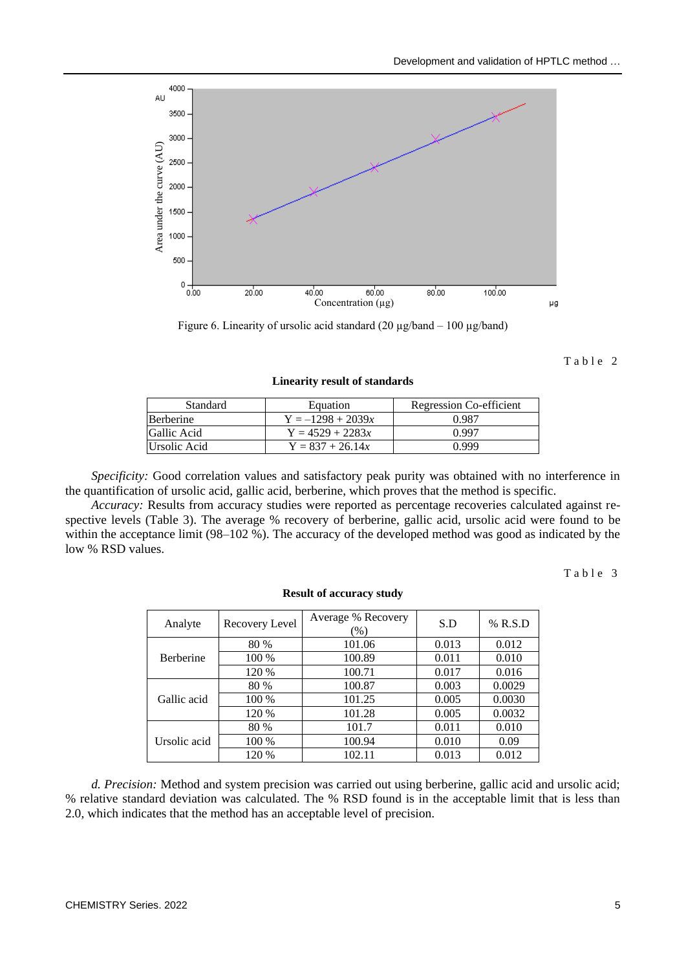

Figure 6. Linearity of ursolic acid standard  $(20 \mu g/b$ and – 100  $\mu g/b$ and)

Table 2

**Linearity result of standards**

| Standard         | Equation            | Regression Co-efficient |
|------------------|---------------------|-------------------------|
| <b>Berberine</b> | $Y = -1298 + 2039x$ | 0.987                   |
| Gallic Acid      | $Y = 4529 + 2283x$  | በ 997                   |
| Ursolic Acid     | $Y = 837 + 26.14x$  | N 999                   |

*Specificity:* Good correlation values and satisfactory peak purity was obtained with no interference in the quantification of ursolic acid, gallic acid, berberine, which proves that the method is specific.

*Accuracy:* Results from accuracy studies were reported as percentage recoveries calculated against respective levels (Table 3). The average % recovery of berberine, gallic acid, ursolic acid were found to be within the acceptance limit (98–102 %). The accuracy of the developed method was good as indicated by the low % RSD values.

Table 3

| Analyte          | Recovery Level | Average % Recovery<br>$(\%)$ | S.D   | % R.S.D |
|------------------|----------------|------------------------------|-------|---------|
|                  | 80 %           | 101.06                       | 0.013 | 0.012   |
| <b>Berberine</b> | 100 %          | 100.89                       | 0.011 | 0.010   |
|                  | 120 %          | 100.71                       | 0.017 | 0.016   |
| Gallic acid      | 80 %           | 100.87                       | 0.003 | 0.0029  |
|                  | 100 %          | 101.25                       | 0.005 | 0.0030  |
|                  | 120 %          | 101.28                       | 0.005 | 0.0032  |
| Ursolic acid     | 80 %           | 101.7                        | 0.011 | 0.010   |
|                  | 100 %          | 100.94                       | 0.010 | 0.09    |
|                  | 120 %          | 102.11                       | 0.013 | 0.012   |

**Result of accuracy study**

*d. Precision:* Method and system precision was carried out using berberine, gallic acid and ursolic acid; % relative standard deviation was calculated. The % RSD found is in the acceptable limit that is less than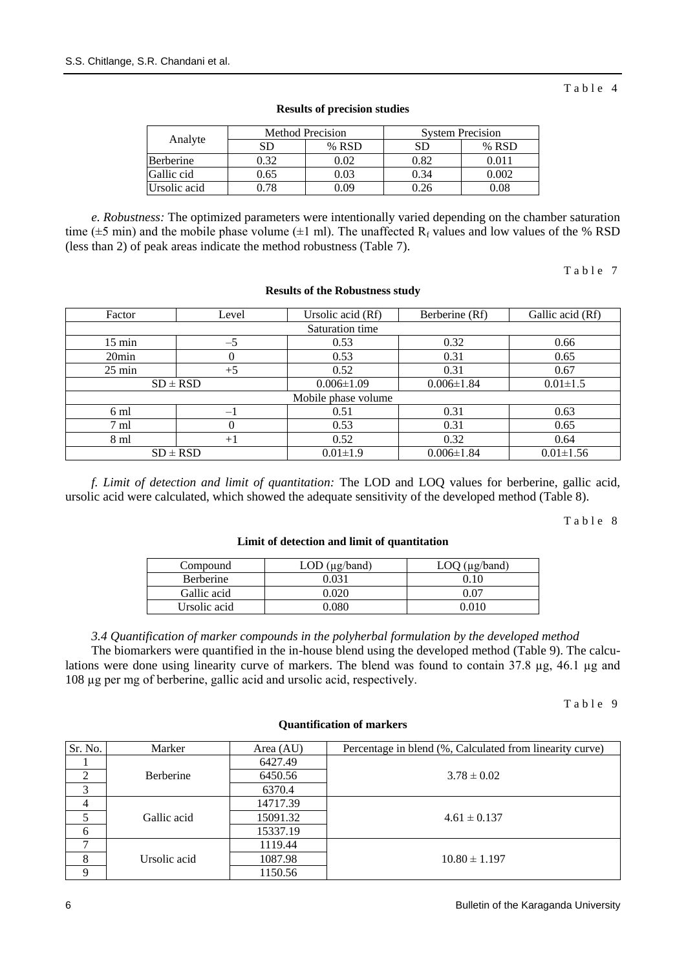| Analyte          | <b>Method Precision</b> |       | <b>System Precision</b> |        |
|------------------|-------------------------|-------|-------------------------|--------|
|                  | SЕ                      | % RSD | SD                      | % RSD  |
| <b>Berberine</b> | ).32                    | 0.02  | 0.82                    | O O 11 |
| Gallic cid       | 0.65                    | 2.03  | 0.34                    | ∩ ∩∩ാ  |
| Ursolic acid     |                         | -09   |                         | 2.08   |

#### **Results of precision studies**

*e. Robustness:* The optimized parameters were intentionally varied depending on the chamber saturation time ( $\pm 5$  min) and the mobile phase volume ( $\pm 1$  ml). The unaffected R<sub>f</sub> values and low values of the % RSD (less than 2) of peak areas indicate the method robustness (Table 7).

Table 7

Table 4

#### **Results of the Robustness study**

| Factor              | Level    | Ursolic acid (Rf) | Berberine (Rf)   | Gallic acid (Rf) |
|---------------------|----------|-------------------|------------------|------------------|
|                     |          | Saturation time   |                  |                  |
| $15 \text{ min}$    | $-5$     | 0.53              | 0.32             | 0.66             |
| 20 <sub>min</sub>   | 0        | 0.53              | 0.31             | 0.65             |
| $25 \text{ min}$    | $+5$     | 0.52              | 0.31             | 0.67             |
| $SD \pm RSD$        |          | $0.006 \pm 1.09$  | $0.006 \pm 1.84$ | $0.01 \pm 1.5$   |
| Mobile phase volume |          |                   |                  |                  |
| 6 ml                | — I      | 0.51              | 0.31             | 0.63             |
| $7 \text{ ml}$      | $\Omega$ | 0.53              | 0.31             | 0.65             |
| 8 ml                | $+1$     | 0.52              | 0.32             | 0.64             |
| $SD \pm RSD$        |          | $0.01 \pm 1.9$    | $0.006 \pm 1.84$ | $0.01 \pm 1.56$  |

*f. Limit of detection and limit of quantitation:* The LOD and LOQ values for berberine, gallic acid, ursolic acid were calculated, which showed the adequate sensitivity of the developed method (Table 8).

Table 8

### **Limit of detection and limit of quantitation**

| Compound     | $LOD$ ( $\mu$ g/band) | $LOQ$ ( $\mu$ g/band) |
|--------------|-----------------------|-----------------------|
| Berberine    | 0.031                 |                       |
| Gallic acid  | ).020                 | ).07                  |
| Ursolic acid | .080                  |                       |

*3.4 Quantification of marker compounds in the polyherbal formulation by the developed method* The biomarkers were quantified in the in-house blend using the developed method (Table 9). The calculations were done using linearity curve of markers. The blend was found to contain 37.8 µg, 46.1 µg and 108 µg per mg of berberine, gallic acid and ursolic acid, respectively.

Table 9

| Sr. No.        | Marker           | Area $(AU)$ | Percentage in blend (%, Calculated from linearity curve) |
|----------------|------------------|-------------|----------------------------------------------------------|
|                |                  | 6427.49     |                                                          |
|                | <b>Berberine</b> | 6450.56     | $3.78 \pm 0.02$                                          |
| 3              |                  | 6370.4      |                                                          |
| $\overline{4}$ |                  | 14717.39    |                                                          |
|                | Gallic acid      | 15091.32    | $4.61 \pm 0.137$                                         |
| 6              |                  | 15337.19    |                                                          |
| $\mathbf{r}$   |                  | 1119.44     |                                                          |
| 8              | Ursolic acid     | 1087.98     | $10.80 \pm 1.197$                                        |
| 9              |                  | 1150.56     |                                                          |

#### **Quantification of markers**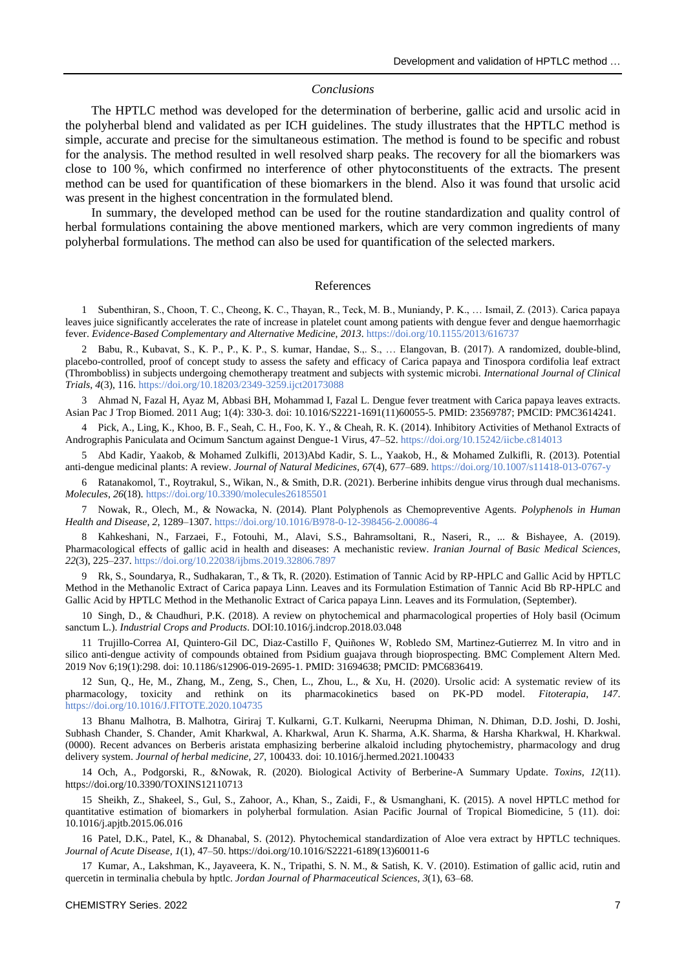#### *Conclusions*

The HPTLC method was developed for the determination of berberine, gallic acid and ursolic acid in the polyherbal blend and validated as per ICH guidelines. The study illustrates that the HPTLC method is simple, accurate and precise for the simultaneous estimation. The method is found to be specific and robust for the analysis. The method resulted in well resolved sharp peaks. The recovery for all the biomarkers was close to 100 %, which confirmed no interference of other phytoconstituents of the extracts. The present method can be used for quantification of these biomarkers in the blend. Also it was found that ursolic acid was present in the highest concentration in the formulated blend.

In summary, the developed method can be used for the routine standardization and quality control of herbal formulations containing the above mentioned markers, which are very common ingredients of many polyherbal formulations. The method can also be used for quantification of the selected markers.

### References

1 Subenthiran, S., Choon, T. C., Cheong, K. C., Thayan, R., Teck, M. B., Muniandy, P. K., … Ismail, Z. (2013). Carica papaya leaves juice significantly accelerates the rate of increase in platelet count among patients with dengue fever and dengue haemorrhagic fever. *Evidence-Based Complementary and Alternative Medicine*, *2013*.<https://doi.org/10.1155/2013/616737>

2 Babu, R., Kubavat, S., K. P., P., K. P., S. kumar, Handae, S.,. S., … Elangovan, B. (2017). A randomized, double-blind, placebo-controlled, proof of concept study to assess the safety and efficacy of Carica papaya and Tinospora cordifolia leaf extract (Thrombobliss) in subjects undergoing chemotherapy treatment and subjects with systemic microbi. *International Journal of Clinical Trials*, *4*(3), 116[. https://doi.org/10.18203/2349-3259.ijct20173088](https://doi.org/10.18203/2349-3259.ijct20173088)

3 Ahmad N, Fazal H, Ayaz M, Abbasi BH, Mohammad I, Fazal L. Dengue fever treatment with Carica papaya leaves extracts. Asian Pac J Trop Biomed. 2011 Aug; 1(4): 330-3. doi: 10.1016/S2221-1691(11)60055-5. PMID: 23569787; PMCID: PMC3614241.

4 Pick, A., Ling, K., Khoo, B. F., Seah, C. H., Foo, K. Y., & Cheah, R. K. (2014). Inhibitory Activities of Methanol Extracts of Andrographis Paniculata and Ocimum Sanctum against Dengue-1 Virus, 47–52.<https://doi.org/10.15242/iicbe.c814013>

5 Abd Kadir, Yaakob, & Mohamed Zulkifli, 2013)Abd Kadir, S. L., Yaakob, H., & Mohamed Zulkifli, R. (2013). Potential anti-dengue medicinal plants: A review. *Journal of Natural Medicines*, *67*(4), 677–689[. https://doi.org/10.1007/s11418-013-0767-y](https://doi.org/10.1007/s11418-013-0767-y)

6 Ratanakomol, T., Roytrakul, S., Wikan, N., & Smith, D.R. (2021). Berberine inhibits dengue virus through dual mechanisms. *Molecules*, *26*(18)[. https://doi.org/10.3390/molecules26185501](https://doi.org/10.3390/molecules26185501)

7 Nowak, R., Olech, M., & Nowacka, N. (2014). Plant Polyphenols as Chemopreventive Agents. *Polyphenols in Human Health and Disease*, *2*, 1289–1307.<https://doi.org/10.1016/B978-0-12-398456-2.00086-4>

8 Kahkeshani, N., Farzaei, F., Fotouhi, M., Alavi, S.S., Bahramsoltani, R., Naseri, R., ... & Bishayee, A. (2019). Pharmacological effects of gallic acid in health and diseases: A mechanistic review. *Iranian Journal of Basic Medical Sciences*, *22*(3), 225–237. <https://doi.org/10.22038/ijbms.2019.32806.7897>

9 Rk, S., Soundarya, R., Sudhakaran, T., & Tk, R. (2020). Estimation of Tannic Acid by RP-HPLC and Gallic Acid by HPTLC Method in the Methanolic Extract of Carica papaya Linn. Leaves and its Formulation Estimation of Tannic Acid Bb RP-HPLC and Gallic Acid by HPTLC Method in the Methanolic Extract of Carica papaya Linn. Leaves and its Formulation, (September).

10 Singh, D., & Chaudhuri, P.K. (2018). A review on phytochemical and pharmacological properties of Holy basil (Ocimum sanctum L.). *Industrial Crops and Products*. DOI:10.1016/j.indcrop.2018.03.048

11 Trujillo-Correa AI, Quintero-Gil DC, Diaz-Castillo F, Quiñones W, Robledo SM, Martinez-Gutierrez M. In vitro and in silico anti-dengue activity of compounds obtained from Psidium guajava through bioprospecting. BMC Complement Altern Med. 2019 Nov 6;19(1):298. doi: 10.1186/s12906-019-2695-1. PMID: 31694638; PMCID: PMC6836419.

12 Sun, Q., He, M., Zhang, M., Zeng, S., Chen, L., Zhou, L., & Xu, H. (2020). Ursolic acid: A systematic review of its pharmacology, toxicity and rethink on its pharmacokinetics based on PK-PD model. *Fitoterapia*, *147*. <https://doi.org/10.1016/J.FITOTE.2020.104735>

13 Bhanu Malhotra, B. Malhotra, Giriraj T. Kulkarni, G.T. Kulkarni, Neerupma Dhiman, N. Dhiman, D.D. Joshi, D. Joshi, Subhash Chander, S. Chander, Amit Kharkwal, A. Kharkwal, Arun K. Sharma, A.K. Sharma, & Harsha Kharkwal, H. Kharkwal. (0000). Recent advances on Berberis aristata emphasizing berberine alkaloid including phytochemistry, pharmacology and drug delivery system. *Journal of herbal medicine, 27*, 100433. doi: 10.1016/j.hermed.2021.100433

14 Och, A., Podgorski, R., &Nowak, R. (2020). Biological Activity of Berberine-A Summary Update. *Toxins*, *12*(11). https://doi.org/10.3390/TOXINS12110713

15 Sheikh, Z., Shakeel, S., Gul, S., Zahoor, A., Khan, S., Zaidi, F., & Usmanghani, K. (2015). A novel HPTLC method for quantitative estimation of biomarkers in polyherbal formulation. Asian Pacific Journal of Tropical Biomedicine, 5 (11). doi: 10.1016/j.apjtb.2015.06.016

16 Patel, D.K., Patel, K., & Dhanabal, S. (2012). Phytochemical standardization of Aloe vera extract by HPTLC techniques. *Journal of Acute Disease*, *1*(1), 47–50. https://doi.org/10.1016/S2221-6189(13)60011-6

17 Kumar, A., Lakshman, K., Jayaveera, K. N., Tripathi, S. N. M., & Satish, K. V. (2010). Estimation of gallic acid, rutin and quercetin in terminalia chebula by hptlc. *Jordan Journal of Pharmaceutical Sciences*, *3*(1), 63–68.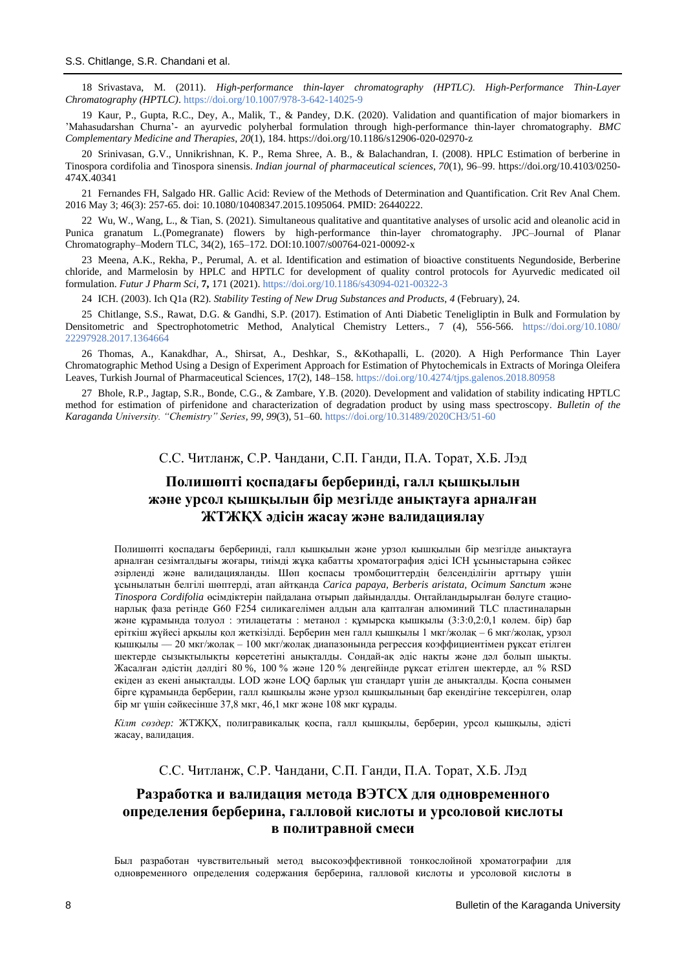18 Srivastava, M. (2011). *High-performance thin-layer chromatography (HPTLC)*. *High-Performance Thin-Layer Chromatography (HPTLC)*[. https://doi.org/10.1007/978-3-642-14025-9](https://doi.org/10.1007/978-3-642-14025-9)

19 Kaur, P., Gupta, R.C., Dey, A., Malik, T., & Pandey, D.K. (2020). Validation and quantification of major biomarkers in 'Mahasudarshan Churna'- an ayurvedic polyherbal formulation through high-performance thin-layer chromatography. *BMC Complementary Medicine and Therapies*, *20*(1), 184. https://doi.org/10.1186/s12906-020-02970-z

20 Srinivasan, G.V., Unnikrishnan, K. P., Rema Shree, A. B., & Balachandran, I. (2008). HPLC Estimation of berberine in Tinospora cordifolia and Tinospora sinensis. *Indian journal of pharmaceutical sciences*, *70*(1), 96–99. https://doi.org/10.4103/0250- 474X.40341

21 Fernandes FH, Salgado HR. Gallic Acid: Review of the Methods of Determination and Quantification. Crit Rev Anal Chem. 2016 May 3; 46(3): 257-65. doi: 10.1080/10408347.2015.1095064. PMID: 26440222.

22 Wu, W., Wang, L., & Tian, S. (2021). Simultaneous qualitative and quantitative analyses of ursolic acid and oleanolic acid in Punica granatum L.(Pomegranate) flowers by high-performance thin-layer chromatography. JPC–Journal of Planar Chromatography–Modern TLC, 34(2), 165–172. DOI:10.1007/s00764-021-00092-x

23 Meena, A.K., Rekha, P., Perumal, A. et al. Identification and estimation of bioactive constituents Negundoside, Berberine chloride, and Marmelosin by HPLC and HPTLC for development of quality control protocols for Ayurvedic medicated oil formulation. *Futur J Pharm Sci,* **7,** 171 (2021).<https://doi.org/10.1186/s43094-021-00322-3>

24 ICH. (2003). Ich Q1a (R2). *Stability Testing of New Drug Substances and Products*, *4* (February), 24.

25 Chitlange, S.S., Rawat, D.G. & Gandhi, S.P. (2017). Estimation of Anti Diabetic Teneligliptin in Bulk and Formulation by Densitometric and Spectrophotometric Method, Analytical Chemistry Letters., 7 (4), 556-566. [https://doi.org/10.1080/](https://doi.org/10.1080/22297928.2017.1364664) [22297928.2017.1364664](https://doi.org/10.1080/22297928.2017.1364664)

26 Thomas, A., Kanakdhar, A., Shirsat, A., Deshkar, S., &Kothapalli, L. (2020). A High Performance Thin Layer Chromatographic Method Using a Design of Experiment Approach for Estimation of Phytochemicals in Extracts of Moringa Oleifera Leaves, Turkish Journal of Pharmaceutical Sciences, 17(2), 148–158. <https://doi.org/10.4274/tjps.galenos.2018.80958>

27 Bhole, R.P., Jagtap, S.R., Bonde, C.G., & Zambare, Y.B. (2020). Development and validation of stability indicating HPTLC method for estimation of pirfenidone and characterization of degradation product by using mass spectroscopy. *Bulletin of the Karaganda University. "Chemistry" Series, 99*, *99*(3), 51–60.<https://doi.org/10.31489/2020CH3/51-60>

С.С. Читланж, С.Р. Чандани, С.П. Ганди, П.А. Торат, Х.Б. Лэд

# **Полишөпті қоспадағы берберинді, галл қышқылын және урсол қышқылын бір мезгілде анықтауға арналған ЖТЖҚХ әдісін жасау және валидациялау**

Полишөпті қоспадағы берберинді, галл қышқылын және урзол қышқылын бір мезгілде анықтауға арналған сезімталдығы жоғары, тиімді жұқа қабатты хроматография әдісі ICH ұсыныстарына сәйкес әзірленді және валидацияланды. Шөп қоспасы тромбоциттердің белсенділігін арттыру үшін ұсынылатын белгілі шөптерді, атап айтқанда *Carica papaya, Berberis aristata, Ocimum Sanctum* және *Tinospora Cordifolia* өсімдіктерін пайдалана отырып дайындалды. Оңтайландырылған бөлуге стационарлық фаза ретінде G60 F254 силикагелімен алдын ала қапталған алюминий TLC пластиналарын және құрамында толуол : этилацетаты : метанол : құмырсқа қышқылы (3:3:0,2:0,1 көлем. бір) бар еріткіш жүйесі арқылы қол жеткізілді. Берберин мен галл қышқылы 1 мкг/жолақ – 6 мкг/жолақ, урзол қышқылы — 20 мкг/жолақ – 100 мкг/жолақ диапазонында регрессия коэффициентімен рұқсат етілген шектерде сызықтылықты көрсететіні анықталды. Сондай-ақ әдіс нақты және дәл болып шықты. Жасалған әдістің дәлдігі 80 %, 100 % және 120 % деңгейінде рұқсат етілген шектерде, ал % RSD екіден аз екені анықталды. LOD және LOQ барлық үш стандарт үшін де анықталды. Қоспа сонымен бірге құрамында берберин, галл қышқылы және урзол қышқылының бар екендігіне тексерілген, олар бір мг үшін сәйкесінше 37,8 мкг, 46,1 мкг және 108 мкг құрады.

*Кілт сөздер:* ЖТЖҚХ, полигравикалық қоспа, галл қышқылы, берберин, урсол қышқылы, әдісті жасау, валидация.

С.С. Читланж, С.Р. Чандани, С.П. Ганди, П.А. Торат, Х.Б. Лэд

# **Разработка и валидация метода ВЭТСХ для одновременного определения берберина, галловой кислоты и урсоловой кислоты в политравной смеси**

Был разработан чувствительный метод высокоэффективной тонкослойной хроматографии для одновременного определения содержания берберина, галловой кислоты и урсоловой кислоты в